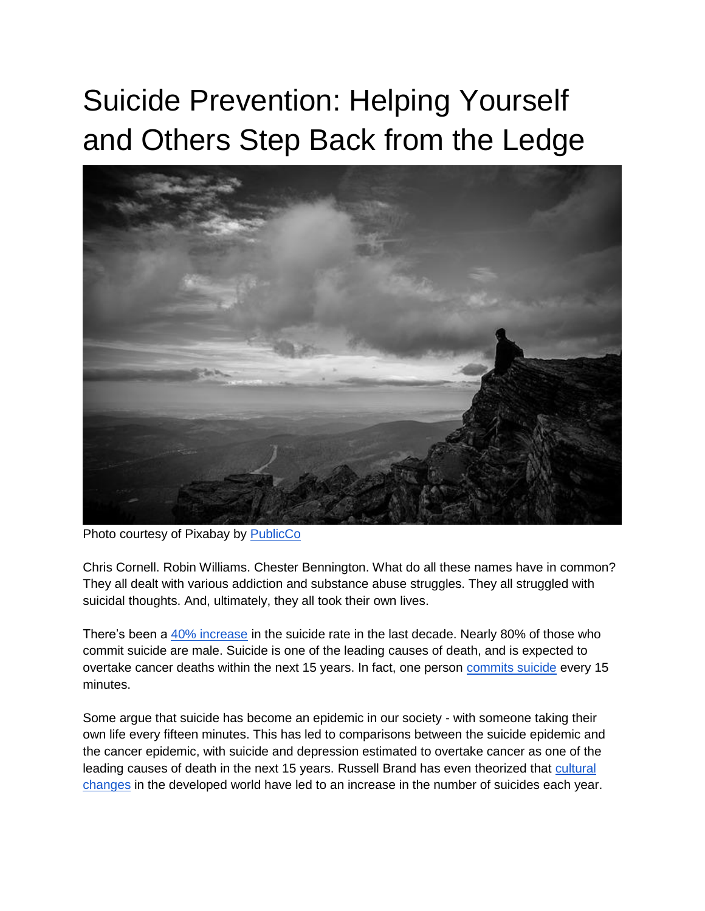## Suicide Prevention: Helping Yourself and Others Step Back from the Ledge



Photo courtesy of Pixabay by [PublicCo](https://pixabay.com/en/cliff-ledge-wonder-dark-moody-2213614/)

Chris Cornell. Robin Williams. Chester Bennington. What do all these names have in common? They all dealt with various addiction and substance abuse struggles. They all struggled with suicidal thoughts. And, ultimately, they all took their own lives.

There's been a [40% increase](http://www.nme.com/news/music/russell-brand-chester-bennington-suicide-2116907) in the suicide rate in the last decade. Nearly 80% of those who commit suicide are male. Suicide is one of the leading causes of death, and is expected to overtake cancer deaths within the next 15 years. In fact, one person [commits suicide](https://www.google.com/url?sa=t&rct=j&q=&esrc=s&source=web&cd=2&cad=rja&uact=8&ved=0ahUKEwjfv7TXgbLVAhUd0IMKHRdHBuMQFggwMAE&url=https%3A%2F%2Fwww.dosomething.org%2Fus%2Ffacts%2F11-facts-about-suicide&usg=AFQjCNG3viIJPXk0Z4hbvb9dMA7QC6Vw-w) every 15 minutes.

Some argue that suicide has become an epidemic in our society - with someone taking their own life every fifteen minutes. This has led to comparisons between the suicide epidemic and the cancer epidemic, with suicide and depression estimated to overtake cancer as one of the leading causes of death in the next 15 years. Russell Brand has even theorized that [cultural](https://www.youtube.com/watch?v=ctXrAoCMSsY)  [changes](https://www.youtube.com/watch?v=ctXrAoCMSsY) in the developed world have led to an increase in the number of suicides each year.